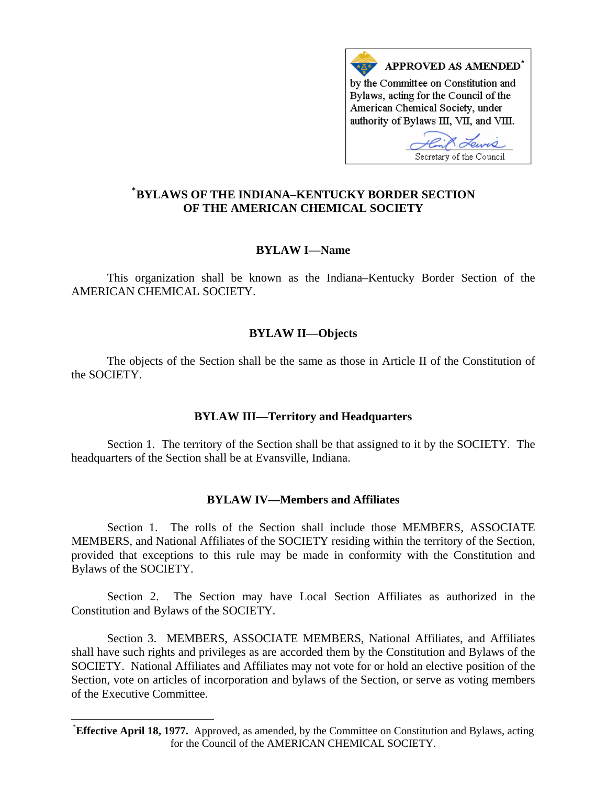

# **[\\*](#page-0-0) BYLAWS OF THE INDIANA–KENTUCKY BORDER SECTION OF THE AMERICAN CHEMICAL SOCIETY**

## **BYLAW I—Name**

This organization shall be known as the Indiana–Kentucky Border Section of the AMERICAN CHEMICAL SOCIETY.

# **BYLAW II—Objects**

The objects of the Section shall be the same as those in Article II of the Constitution of the SOCIETY.

# **BYLAW III—Territory and Headquarters**

Section 1. The territory of the Section shall be that assigned to it by the SOCIETY. The headquarters of the Section shall be at Evansville, Indiana.

## **BYLAW IV—Members and Affiliates**

Section 1. The rolls of the Section shall include those MEMBERS, ASSOCIATE MEMBERS, and National Affiliates of the SOCIETY residing within the territory of the Section, provided that exceptions to this rule may be made in conformity with the Constitution and Bylaws of the SOCIETY.

Section 2. The Section may have Local Section Affiliates as authorized in the Constitution and Bylaws of the SOCIETY.

Section 3. MEMBERS, ASSOCIATE MEMBERS, National Affiliates, and Affiliates shall have such rights and privileges as are accorded them by the Constitution and Bylaws of the SOCIETY. National Affiliates and Affiliates may not vote for or hold an elective position of the Section, vote on articles of incorporation and bylaws of the Section, or serve as voting members of the Executive Committee.

<span id="page-0-0"></span> $\overline{\phantom{a}}$ 

<sup>\*</sup> **Effective April 18, 1977.** Approved, as amended, by the Committee on Constitution and Bylaws, acting for the Council of the AMERICAN CHEMICAL SOCIETY.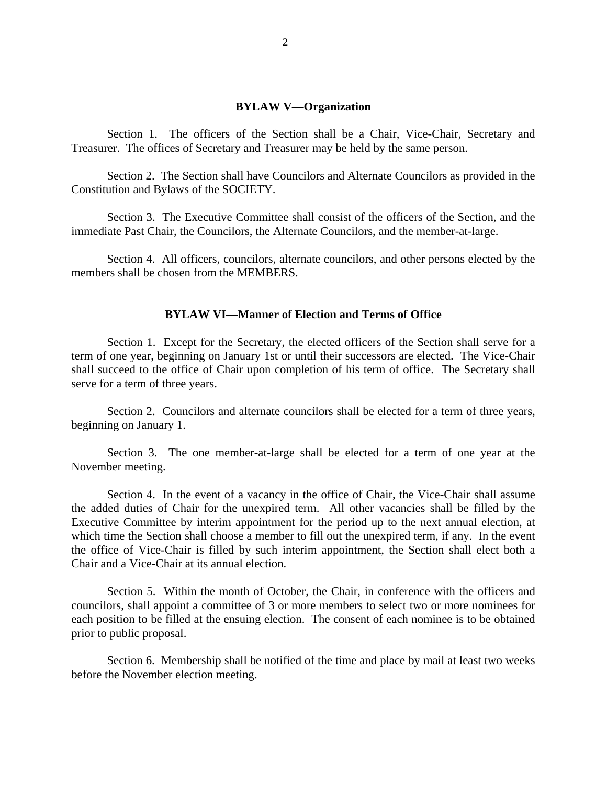#### **BYLAW V—Organization**

Section 1. The officers of the Section shall be a Chair, Vice-Chair, Secretary and Treasurer. The offices of Secretary and Treasurer may be held by the same person.

Section 2. The Section shall have Councilors and Alternate Councilors as provided in the Constitution and Bylaws of the SOCIETY.

Section 3. The Executive Committee shall consist of the officers of the Section, and the immediate Past Chair, the Councilors, the Alternate Councilors, and the member-at-large.

Section 4. All officers, councilors, alternate councilors, and other persons elected by the members shall be chosen from the MEMBERS.

### **BYLAW VI—Manner of Election and Terms of Office**

Section 1. Except for the Secretary, the elected officers of the Section shall serve for a term of one year, beginning on January 1st or until their successors are elected. The Vice-Chair shall succeed to the office of Chair upon completion of his term of office. The Secretary shall serve for a term of three years.

Section 2. Councilors and alternate councilors shall be elected for a term of three years, beginning on January 1.

Section 3. The one member-at-large shall be elected for a term of one year at the November meeting.

Section 4. In the event of a vacancy in the office of Chair, the Vice-Chair shall assume the added duties of Chair for the unexpired term. All other vacancies shall be filled by the Executive Committee by interim appointment for the period up to the next annual election, at which time the Section shall choose a member to fill out the unexpired term, if any. In the event the office of Vice-Chair is filled by such interim appointment, the Section shall elect both a Chair and a Vice-Chair at its annual election.

Section 5. Within the month of October, the Chair, in conference with the officers and councilors, shall appoint a committee of 3 or more members to select two or more nominees for each position to be filled at the ensuing election. The consent of each nominee is to be obtained prior to public proposal.

Section 6. Membership shall be notified of the time and place by mail at least two weeks before the November election meeting.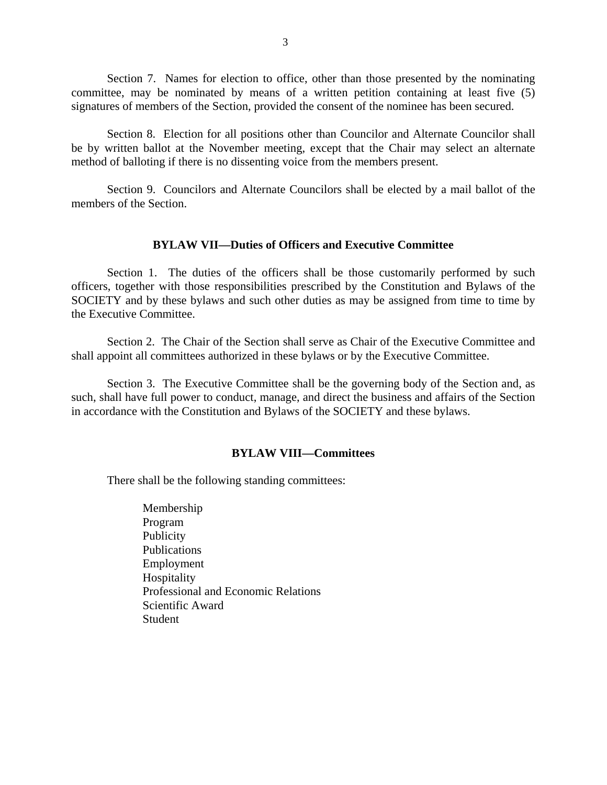Section 7. Names for election to office, other than those presented by the nominating committee, may be nominated by means of a written petition containing at least five (5) signatures of members of the Section, provided the consent of the nominee has been secured.

Section 8. Election for all positions other than Councilor and Alternate Councilor shall be by written ballot at the November meeting, except that the Chair may select an alternate method of balloting if there is no dissenting voice from the members present.

Section 9. Councilors and Alternate Councilors shall be elected by a mail ballot of the members of the Section.

### **BYLAW VII—Duties of Officers and Executive Committee**

Section 1. The duties of the officers shall be those customarily performed by such officers, together with those responsibilities prescribed by the Constitution and Bylaws of the SOCIETY and by these bylaws and such other duties as may be assigned from time to time by the Executive Committee.

Section 2. The Chair of the Section shall serve as Chair of the Executive Committee and shall appoint all committees authorized in these bylaws or by the Executive Committee.

Section 3. The Executive Committee shall be the governing body of the Section and, as such, shall have full power to conduct, manage, and direct the business and affairs of the Section in accordance with the Constitution and Bylaws of the SOCIETY and these bylaws.

### **BYLAW VIII—Committees**

There shall be the following standing committees:

Membership Program **Publicity** Publications Employment Hospitality Professional and Economic Relations Scientific Award Student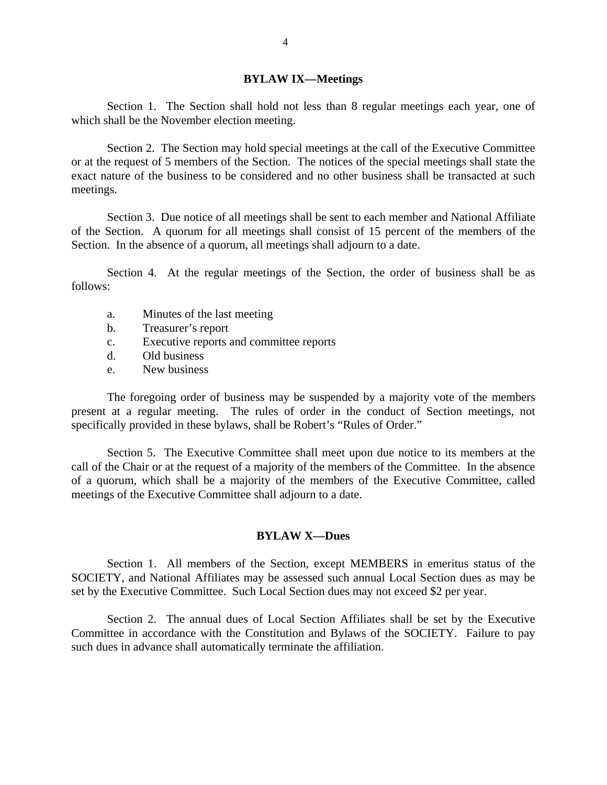### **BYLAW IX—Meetings**

Section 1. The Section shall hold not less than 8 regular meetings each year, one of which shall be the November election meeting.

Section 2. The Section may hold special meetings at the call of the Executive Committee or at the request of 5 members of the Section. The notices of the special meetings shall state the exact nature of the business to be considered and no other business shall be transacted at such meetings.

Section 3. Due notice of all meetings shall be sent to each member and National Affiliate of the Section. A quorum for all meetings shall consist of 15 percent of the members of the Section. In the absence of a quorum, all meetings shall adjourn to a date.

Section 4. At the regular meetings of the Section, the order of business shall be as follows:

- a. Minutes of the last meeting
- b. Treasurer's report
- c. Executive reports and committee reports
- d. Old business
- e. New business

The foregoing order of business may be suspended by a majority vote of the members present at a regular meeting. The rules of order in the conduct of Section meetings, not specifically provided in these bylaws, shall be Robert's "Rules of Order."

Section 5. The Executive Committee shall meet upon due notice to its members at the call of the Chair or at the request of a majority of the members of the Committee. In the absence of a quorum, which shall be a majority of the members of the Executive Committee, called meetings of the Executive Committee shall adjourn to a date.

### **BYLAW X—Dues**

Section 1. All members of the Section, except MEMBERS in emeritus status of the SOCIETY, and National Affiliates may be assessed such annual Local Section dues as may be set by the Executive Committee. Such Local Section dues may not exceed \$2 per year.

Section 2. The annual dues of Local Section Affiliates shall be set by the Executive Committee in accordance with the Constitution and Bylaws of the SOCIETY. Failure to pay such dues in advance shall automatically terminate the affiliation.